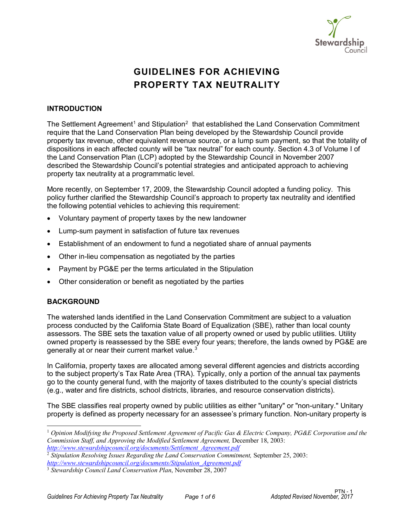

# **GUIDELINES FOR ACHIEVING PROPERTY TAX NEUTRALITY**

## **INTRODUCTION**

The Settlement Agreement<sup>[1](#page-0-0)</sup> and Stipulation<sup>[2](#page-0-1)</sup> that established the Land Conservation Commitment require that the Land Conservation Plan being developed by the Stewardship Council provide property tax revenue, other equivalent revenue source, or a lump sum payment, so that the totality of dispositions in each affected county will be "tax neutral" for each county. Section 4.3 of Volume I of the Land Conservation Plan (LCP) adopted by the Stewardship Council in November 2007 described the Stewardship Council's potential strategies and anticipated approach to achieving property tax neutrality at a programmatic level.

More recently, on September 17, 2009, the Stewardship Council adopted a funding policy. This policy further clarified the Stewardship Council's approach to property tax neutrality and identified the following potential vehicles to achieving this requirement:

- Voluntary payment of property taxes by the new landowner
- Lump-sum payment in satisfaction of future tax revenues
- Establishment of an endowment to fund a negotiated share of annual payments
- Other in-lieu compensation as negotiated by the parties
- Payment by PG&E per the terms articulated in the Stipulation
- Other consideration or benefit as negotiated by the parties

## **BACKGROUND**

The watershed lands identified in the Land Conservation Commitment are subject to a valuation process conducted by the California State Board of Equalization (SBE), rather than local county assessors. The SBE sets the taxation value of all property owned or used by public utilities. Utility owned property is reassessed by the SBE every four years; therefore, the lands owned by PG&E are generally at or near their current market value. $^3$  $^3$ 

In California, property taxes are allocated among several different agencies and districts according to the subject property's Tax Rate Area (TRA). Typically, only a portion of the annual tax payments go to the county general fund, with the majority of taxes distributed to the county's special districts (e.g., water and fire districts, school districts, libraries, and resource conservation districts).

The SBE classifies real property owned by public utilities as either "unitary" or "non-unitary." Unitary property is defined as property necessary for an assessee's primary function. Non-unitary property is

<span id="page-0-0"></span><sup>1</sup> *Opinion Modifying the Proposed Settlement Agreement of Pacific Gas & Electric Company, PG&E Corporation and the Commission Staff, and Approving the Modified Settlement Agreement,* December 18, 2003: *[http://www.stewardshipcouncil.org/documents/Settlement\\_Agreement.pdf](http://www.stewardshipcouncil.org/documents/Settlement_Agreement.pdf)*

<span id="page-0-1"></span><sup>2</sup> *Stipulation Resolving Issues Regarding the Land Conservation Commitment,* September 25, 2003:

*[http://www.stewardshipcouncil.org/documents/Stipulation\\_Agreement.pdf](http://www.stewardshipcouncil.org/documents/Stipulation_Agreement.pdf)*

<span id="page-0-2"></span><sup>3</sup> *Stewardship Council Land Conservation Plan*, November 28, 2007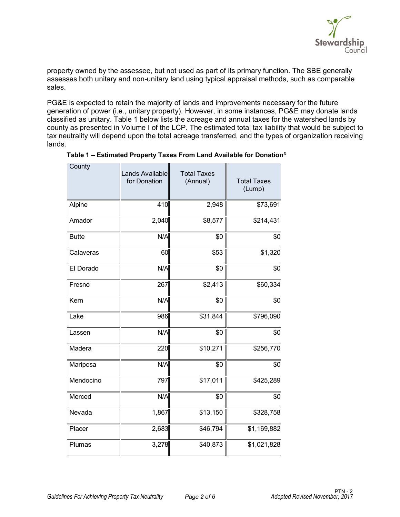

property owned by the assessee, but not used as part of its primary function. The SBE generally assesses both unitary and non-unitary land using typical appraisal methods, such as comparable sales.

PG&E is expected to retain the majority of lands and improvements necessary for the future generation of power (i.e., unitary property). However, in some instances, PG&E may donate lands classified as unitary. Table 1 below lists the acreage and annual taxes for the watershed lands by county as presented in Volume I of the LCP. The estimated total tax liability that would be subject to tax neutrality will depend upon the total acreage transferred, and the types of organization receiving lands.

| County       | Lands Available<br>for Donation | <b>Total Taxes</b><br>(Annual) | <b>Total Taxes</b><br>(Lump) |
|--------------|---------------------------------|--------------------------------|------------------------------|
| Alpine       | 410                             | 2,948                          | \$73,691                     |
| Amador       | $\overline{2,}040$              | \$8,577                        | \$214,431                    |
| <b>Butte</b> | N/A                             | \$0                            | \$0                          |
| Calaveras    | 60                              | \$53                           | \$1,320                      |
| El Dorado    | N/A                             | \$0                            | \$0                          |
| Fresno       | 267                             | \$2,413                        | \$60,334                     |
| Kern         | N/A                             | \$0                            | \$0                          |
| Lake         | 986                             | \$31,844                       | \$796,090                    |
| Lassen       | N/A                             | \$0                            | \$0                          |
| Madera       | 220                             | \$10,271                       | \$256,770                    |
| Mariposa     | N/A                             | \$0                            | \$0                          |
| Mendocino    | 797                             | \$17,011                       | \$425,289                    |
| Merced       | N/A                             | \$0                            | \$0                          |
| Nevada       | 1,867                           | \$13,150                       | \$328,758                    |
| Placer       | 2,683                           | \$46,794                       | \$1,169,882                  |
| Plumas       | 3,278                           | \$40,873                       | \$1,021,828                  |

#### **Table 1 – Estimated Property Taxes From Land Available for Donation3**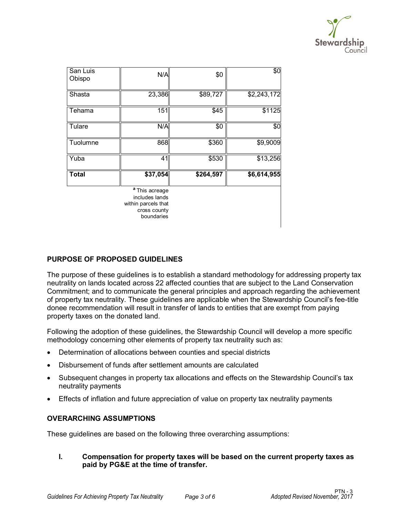

| San Luis<br>Obispo | N/A                                                                                              | \$0       | \$0         |
|--------------------|--------------------------------------------------------------------------------------------------|-----------|-------------|
| Shasta             | 23,386                                                                                           | \$89,727  | \$2,243,172 |
| Tehama             | 151                                                                                              | \$45      | \$1125      |
| Tulare             | N/A                                                                                              | \$0       | \$0         |
| Tuolumne           | 868                                                                                              | \$360     | \$9,9009    |
| Yuba               | 41                                                                                               | \$530     | \$13,256    |
| <b>Total</b>       | \$37,054                                                                                         | \$264,597 | \$6,614,955 |
|                    | <sup>a</sup> This acreage<br>includes lands<br>within parcels that<br>cross county<br>boundaries |           |             |

# **PURPOSE OF PROPOSED GUIDELINES**

The purpose of these guidelines is to establish a standard methodology for addressing property tax neutrality on lands located across 22 affected counties that are subject to the Land Conservation Commitment; and to communicate the general principles and approach regarding the achievement of property tax neutrality. These guidelines are applicable when the Stewardship Council's fee-title donee recommendation will result in transfer of lands to entities that are exempt from paying property taxes on the donated land.

Following the adoption of these guidelines, the Stewardship Council will develop a more specific methodology concerning other elements of property tax neutrality such as:

- Determination of allocations between counties and special districts
- Disbursement of funds after settlement amounts are calculated
- Subsequent changes in property tax allocations and effects on the Stewardship Council's tax neutrality payments
- Effects of inflation and future appreciation of value on property tax neutrality payments

## **OVERARCHING ASSUMPTIONS**

These guidelines are based on the following three overarching assumptions:

**I. Compensation for property taxes will be based on the current property taxes as paid by PG&E at the time of transfer.**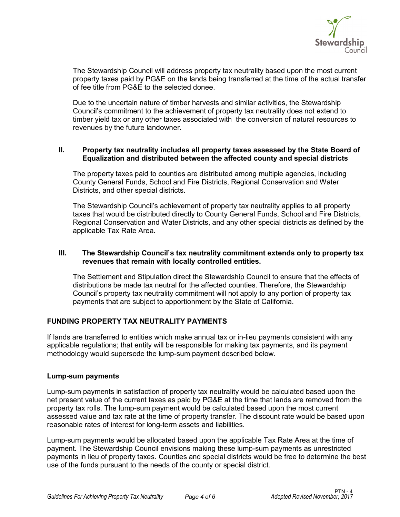

The Stewardship Council will address property tax neutrality based upon the most current property taxes paid by PG&E on the lands being transferred at the time of the actual transfer of fee title from PG&E to the selected donee.

Due to the uncertain nature of timber harvests and similar activities, the Stewardship Council's commitment to the achievement of property tax neutrality does not extend to timber yield tax or any other taxes associated with the conversion of natural resources to revenues by the future landowner.

#### **II. Property tax neutrality includes all property taxes assessed by the State Board of Equalization and distributed between the affected county and special districts**

The property taxes paid to counties are distributed among multiple agencies, including County General Funds, School and Fire Districts, Regional Conservation and Water Districts, and other special districts.

The Stewardship Council's achievement of property tax neutrality applies to all property taxes that would be distributed directly to County General Funds, School and Fire Districts, Regional Conservation and Water Districts, and any other special districts as defined by the applicable Tax Rate Area.

#### **III. The Stewardship Council's tax neutrality commitment extends only to property tax revenues that remain with locally controlled entities.**

The Settlement and Stipulation direct the Stewardship Council to ensure that the effects of distributions be made tax neutral for the affected counties. Therefore, the Stewardship Council's property tax neutrality commitment will not apply to any portion of property tax payments that are subject to apportionment by the State of California.

## **FUNDING PROPERTY TAX NEUTRALITY PAYMENTS**

If lands are transferred to entities which make annual tax or in-lieu payments consistent with any applicable regulations; that entity will be responsible for making tax payments, and its payment methodology would supersede the lump-sum payment described below.

#### **Lump-sum payments**

Lump-sum payments in satisfaction of property tax neutrality would be calculated based upon the net present value of the current taxes as paid by PG&E at the time that lands are removed from the property tax rolls. The lump-sum payment would be calculated based upon the most current assessed value and tax rate at the time of property transfer. The discount rate would be based upon reasonable rates of interest for long-term assets and liabilities.

Lump-sum payments would be allocated based upon the applicable Tax Rate Area at the time of payment. The Stewardship Council envisions making these lump-sum payments as unrestricted payments in lieu of property taxes. Counties and special districts would be free to determine the best use of the funds pursuant to the needs of the county or special district.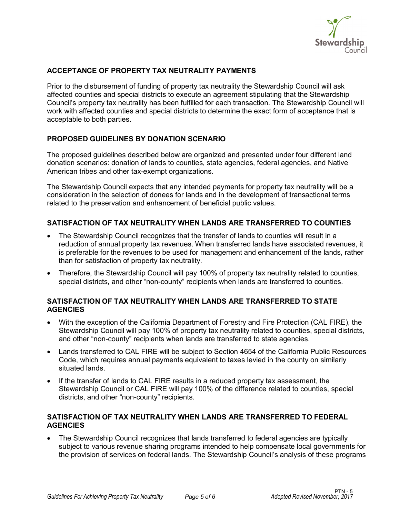

# **ACCEPTANCE OF PROPERTY TAX NEUTRALITY PAYMENTS**

Prior to the disbursement of funding of property tax neutrality the Stewardship Council will ask affected counties and special districts to execute an agreement stipulating that the Stewardship Council's property tax neutrality has been fulfilled for each transaction. The Stewardship Council will work with affected counties and special districts to determine the exact form of acceptance that is acceptable to both parties.

# **PROPOSED GUIDELINES BY DONATION SCENARIO**

The proposed guidelines described below are organized and presented under four different land donation scenarios: donation of lands to counties, state agencies, federal agencies, and Native American tribes and other tax-exempt organizations.

The Stewardship Council expects that any intended payments for property tax neutrality will be a consideration in the selection of donees for lands and in the development of transactional terms related to the preservation and enhancement of beneficial public values.

## **SATISFACTION OF TAX NEUTRALITY WHEN LANDS ARE TRANSFERRED TO COUNTIES**

- The Stewardship Council recognizes that the transfer of lands to counties will result in a reduction of annual property tax revenues. When transferred lands have associated revenues, it is preferable for the revenues to be used for management and enhancement of the lands, rather than for satisfaction of property tax neutrality.
- Therefore, the Stewardship Council will pay 100% of property tax neutrality related to counties, special districts, and other "non-county" recipients when lands are transferred to counties.

## **SATISFACTION OF TAX NEUTRALITY WHEN LANDS ARE TRANSFERRED TO STATE AGENCIES**

- With the exception of the California Department of Forestry and Fire Protection (CAL FIRE), the Stewardship Council will pay 100% of property tax neutrality related to counties, special districts, and other "non-county" recipients when lands are transferred to state agencies.
- Lands transferred to CAL FIRE will be subject to Section 4654 of the California Public Resources Code, which requires annual payments equivalent to taxes levied in the county on similarly situated lands.
- If the transfer of lands to CAL FIRE results in a reduced property tax assessment, the Stewardship Council or CAL FIRE will pay 100% of the difference related to counties, special districts, and other "non-county" recipients.

#### **SATISFACTION OF TAX NEUTRALITY WHEN LANDS ARE TRANSFERRED TO FEDERAL AGENCIES**

• The Stewardship Council recognizes that lands transferred to federal agencies are typically subject to various revenue sharing programs intended to help compensate local governments for the provision of services on federal lands. The Stewardship Council's analysis of these programs